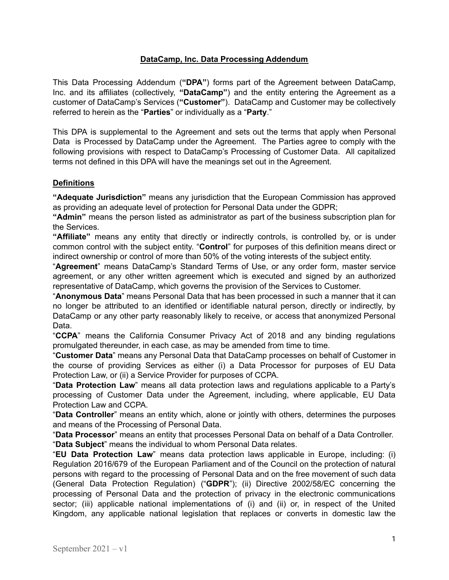## **DataCamp, Inc. Data Processing Addendum**

This Data Processing Addendum (**"DPA"**) forms part of the Agreement between DataCamp, Inc. and its affiliates (collectively, **"DataCamp"**) and the entity entering the Agreement as a customer of DataCamp's Services (**"Customer"**). DataCamp and Customer may be collectively referred to herein as the "**Parties**" or individually as a "**Party**."

This DPA is supplemental to the Agreement and sets out the terms that apply when Personal Data is Processed by DataCamp under the Agreement. The Parties agree to comply with the following provisions with respect to DataCamp's Processing of Customer Data. All capitalized terms not defined in this DPA will have the meanings set out in the Agreement.

## **Definitions**

**"Adequate Jurisdiction"** means any jurisdiction that the European Commission has approved as providing an adequate level of protection for Personal Data under the GDPR;

**"Admin"** means the person listed as administrator as part of the business subscription plan for the Services.

**"Affiliate"** means any entity that directly or indirectly controls, is controlled by, or is under common control with the subject entity. "**Control**" for purposes of this definition means direct or indirect ownership or control of more than 50% of the voting interests of the subject entity.

"**Agreement**" means DataCamp's Standard Terms of Use, or any order form, master service agreement, or any other written agreement which is executed and signed by an authorized representative of DataCamp, which governs the provision of the Services to Customer.

"**Anonymous Data**" means Personal Data that has been processed in such a manner that it can no longer be attributed to an identified or identifiable natural person, directly or indirectly, by DataCamp or any other party reasonably likely to receive, or access that anonymized Personal Data.

"**CCPA**" means the California Consumer Privacy Act of 2018 and any binding regulations promulgated thereunder, in each case, as may be amended from time to time.

"**Customer Data**" means any Personal Data that DataCamp processes on behalf of Customer in the course of providing Services as either (i) a Data Processor for purposes of EU Data Protection Law, or (ii) a Service Provider for purposes of CCPA.

"**Data Protection Law**" means all data protection laws and regulations applicable to a Party's processing of Customer Data under the Agreement, including, where applicable, EU Data Protection Law and CCPA.

"**Data Controller**" means an entity which, alone or jointly with others, determines the purposes and means of the Processing of Personal Data.

"**Data Processor**" means an entity that processes Personal Data on behalf of a Data Controller. "**Data Subject**" means the individual to whom Personal Data relates.

"**EU Data Protection Law**" means data protection laws applicable in Europe, including: (i) Regulation 2016/679 of the European Parliament and of the Council on the protection of natural persons with regard to the processing of Personal Data and on the free movement of such data (General Data Protection Regulation) ("**GDPR**"); (ii) Directive 2002/58/EC concerning the processing of Personal Data and the protection of privacy in the electronic communications sector; (iii) applicable national implementations of (i) and (ii) or, in respect of the United Kingdom, any applicable national legislation that replaces or converts in domestic law the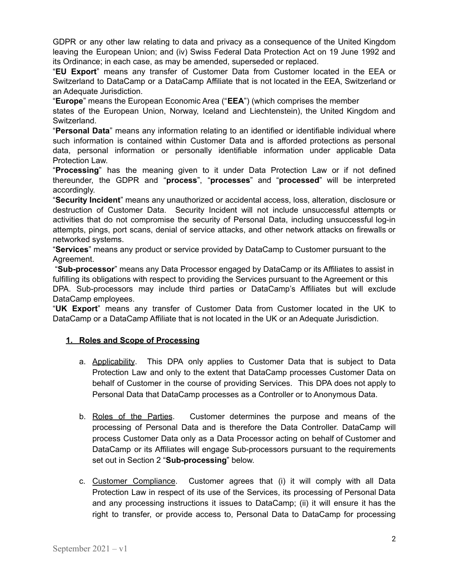GDPR or any other law relating to data and privacy as a consequence of the United Kingdom leaving the European Union; and (iv) Swiss Federal Data Protection Act on 19 June 1992 and its Ordinance; in each case, as may be amended, superseded or replaced.

"**EU Export**" means any transfer of Customer Data from Customer located in the EEA or Switzerland to DataCamp or a DataCamp Affiliate that is not located in the EEA, Switzerland or an Adequate Jurisdiction.

"**Europe**" means the European Economic Area ("**EEA**") (which comprises the member

states of the European Union, Norway, Iceland and Liechtenstein), the United Kingdom and Switzerland.

"**Personal Data**" means any information relating to an identified or identifiable individual where such information is contained within Customer Data and is afforded protections as personal data, personal information or personally identifiable information under applicable Data Protection Law.

"**Processing**" has the meaning given to it under Data Protection Law or if not defined thereunder, the GDPR and "**process**", "**processes**" and "**processed**" will be interpreted accordingly.

"**Security Incident**" means any unauthorized or accidental access, loss, alteration, disclosure or destruction of Customer Data. Security Incident will not include unsuccessful attempts or activities that do not compromise the security of Personal Data, including unsuccessful log-in attempts, pings, port scans, denial of service attacks, and other network attacks on firewalls or networked systems.

"**Services**" means any product or service provided by DataCamp to Customer pursuant to the Agreement.

"**Sub-processor**" means any Data Processor engaged by DataCamp or its Affiliates to assist in fulfilling its obligations with respect to providing the Services pursuant to the Agreement or this DPA. Sub-processors may include third parties or DataCamp's Affiliates but will exclude DataCamp employees.

"**UK Export**" means any transfer of Customer Data from Customer located in the UK to DataCamp or a DataCamp Affiliate that is not located in the UK or an Adequate Jurisdiction.

# **1. Roles and Scope of Processing**

- a. Applicability. This DPA only applies to Customer Data that is subject to Data Protection Law and only to the extent that DataCamp processes Customer Data on behalf of Customer in the course of providing Services. This DPA does not apply to Personal Data that DataCamp processes as a Controller or to Anonymous Data.
- b. Roles of the Parties. Customer determines the purpose and means of the processing of Personal Data and is therefore the Data Controller. DataCamp will process Customer Data only as a Data Processor acting on behalf of Customer and DataCamp or its Affiliates will engage Sub-processors pursuant to the requirements set out in Section 2 "**Sub-processing**" below.
- c. Customer Compliance. Customer agrees that (i) it will comply with all Data Protection Law in respect of its use of the Services, its processing of Personal Data and any processing instructions it issues to DataCamp; (ii) it will ensure it has the right to transfer, or provide access to, Personal Data to DataCamp for processing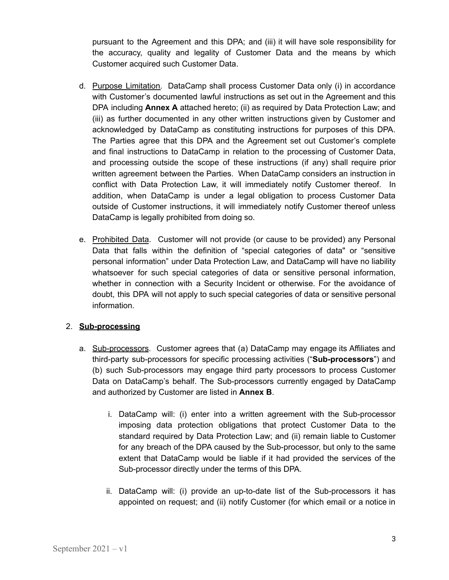pursuant to the Agreement and this DPA; and (iii) it will have sole responsibility for the accuracy, quality and legality of Customer Data and the means by which Customer acquired such Customer Data.

- d. Purpose Limitation. DataCamp shall process Customer Data only (i) in accordance with Customer's documented lawful instructions as set out in the Agreement and this DPA including **Annex A** attached hereto; (ii) as required by Data Protection Law; and (iii) as further documented in any other written instructions given by Customer and acknowledged by DataCamp as constituting instructions for purposes of this DPA. The Parties agree that this DPA and the Agreement set out Customer's complete and final instructions to DataCamp in relation to the processing of Customer Data, and processing outside the scope of these instructions (if any) shall require prior written agreement between the Parties. When DataCamp considers an instruction in conflict with Data Protection Law, it will immediately notify Customer thereof. In addition, when DataCamp is under a legal obligation to process Customer Data outside of Customer instructions, it will immediately notify Customer thereof unless DataCamp is legally prohibited from doing so.
- e. Prohibited Data. Customer will not provide (or cause to be provided) any Personal Data that falls within the definition of "special categories of data" or "sensitive personal information" under Data Protection Law, and DataCamp will have no liability whatsoever for such special categories of data or sensitive personal information, whether in connection with a Security Incident or otherwise. For the avoidance of doubt, this DPA will not apply to such special categories of data or sensitive personal information.

# 2. **Sub-processing**

- a. Sub-processors. Customer agrees that (a) DataCamp may engage its Affiliates and third-party sub-processors for specific processing activities ("**Sub-processors**") and (b) such Sub-processors may engage third party processors to process Customer Data on DataCamp's behalf. The Sub-processors currently engaged by DataCamp and authorized by Customer are listed in **Annex B**.
	- i. DataCamp will: (i) enter into a written agreement with the Sub-processor imposing data protection obligations that protect Customer Data to the standard required by Data Protection Law; and (ii) remain liable to Customer for any breach of the DPA caused by the Sub-processor, but only to the same extent that DataCamp would be liable if it had provided the services of the Sub-processor directly under the terms of this DPA.
	- ii. DataCamp will: (i) provide an up-to-date list of the Sub-processors it has appointed on request; and (ii) notify Customer (for which email or a notice in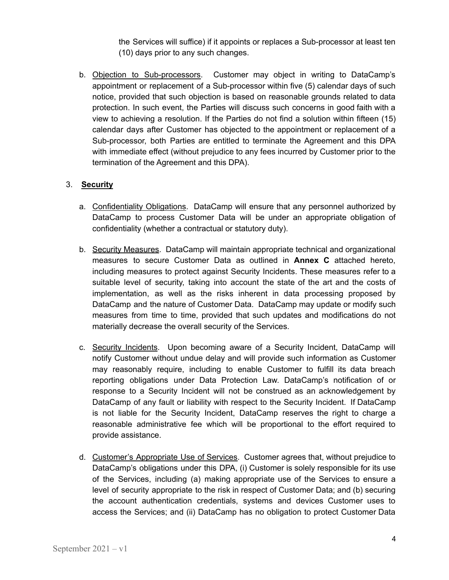the Services will suffice) if it appoints or replaces a Sub-processor at least ten (10) days prior to any such changes.

b. Objection to Sub-processors. Customer may object in writing to DataCamp's appointment or replacement of a Sub-processor within five (5) calendar days of such notice, provided that such objection is based on reasonable grounds related to data protection. In such event, the Parties will discuss such concerns in good faith with a view to achieving a resolution. If the Parties do not find a solution within fifteen (15) calendar days after Customer has objected to the appointment or replacement of a Sub-processor, both Parties are entitled to terminate the Agreement and this DPA with immediate effect (without prejudice to any fees incurred by Customer prior to the termination of the Agreement and this DPA).

## 3. **Security**

- a. Confidentiality Obligations. DataCamp will ensure that any personnel authorized by DataCamp to process Customer Data will be under an appropriate obligation of confidentiality (whether a contractual or statutory duty).
- b. Security Measures. DataCamp will maintain appropriate technical and organizational measures to secure Customer Data as outlined in **Annex C** attached hereto, including measures to protect against Security Incidents. These measures refer to a suitable level of security, taking into account the state of the art and the costs of implementation, as well as the risks inherent in data processing proposed by DataCamp and the nature of Customer Data. DataCamp may update or modify such measures from time to time, provided that such updates and modifications do not materially decrease the overall security of the Services.
- c. Security Incidents. Upon becoming aware of a Security Incident, DataCamp will notify Customer without undue delay and will provide such information as Customer may reasonably require, including to enable Customer to fulfill its data breach reporting obligations under Data Protection Law. DataCamp's notification of or response to a Security Incident will not be construed as an acknowledgement by DataCamp of any fault or liability with respect to the Security Incident. If DataCamp is not liable for the Security Incident, DataCamp reserves the right to charge a reasonable administrative fee which will be proportional to the effort required to provide assistance.
- d. Customer's Appropriate Use of Services. Customer agrees that, without prejudice to DataCamp's obligations under this DPA, (i) Customer is solely responsible for its use of the Services, including (a) making appropriate use of the Services to ensure a level of security appropriate to the risk in respect of Customer Data; and (b) securing the account authentication credentials, systems and devices Customer uses to access the Services; and (ii) DataCamp has no obligation to protect Customer Data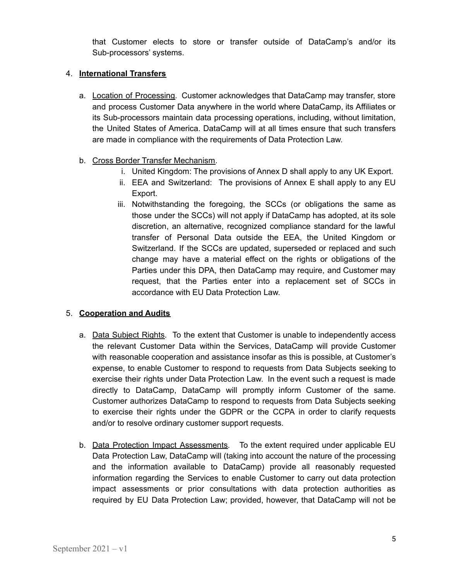that Customer elects to store or transfer outside of DataCamp's and/or its Sub-processors' systems.

#### 4. **International Transfers**

a. Location of Processing. Customer acknowledges that DataCamp may transfer, store and process Customer Data anywhere in the world where DataCamp, its Affiliates or its Sub-processors maintain data processing operations, including, without limitation, the United States of America. DataCamp will at all times ensure that such transfers are made in compliance with the requirements of Data Protection Law.

## b. Cross Border Transfer Mechanism.

- i. United Kingdom: The provisions of Annex D shall apply to any UK Export.
- ii. EEA and Switzerland: The provisions of Annex E shall apply to any EU Export.
- iii. Notwithstanding the foregoing, the SCCs (or obligations the same as those under the SCCs) will not apply if DataCamp has adopted, at its sole discretion, an alternative, recognized compliance standard for the lawful transfer of Personal Data outside the EEA, the United Kingdom or Switzerland. If the SCCs are updated, superseded or replaced and such change may have a material effect on the rights or obligations of the Parties under this DPA, then DataCamp may require, and Customer may request, that the Parties enter into a replacement set of SCCs in accordance with EU Data Protection Law.

# 5. **Cooperation and Audits**

- a. Data Subject Rights. To the extent that Customer is unable to independently access the relevant Customer Data within the Services, DataCamp will provide Customer with reasonable cooperation and assistance insofar as this is possible, at Customer's expense, to enable Customer to respond to requests from Data Subjects seeking to exercise their rights under Data Protection Law. In the event such a request is made directly to DataCamp, DataCamp will promptly inform Customer of the same. Customer authorizes DataCamp to respond to requests from Data Subjects seeking to exercise their rights under the GDPR or the CCPA in order to clarify requests and/or to resolve ordinary customer support requests.
- b. Data Protection Impact Assessments. To the extent required under applicable EU Data Protection Law, DataCamp will (taking into account the nature of the processing and the information available to DataCamp) provide all reasonably requested information regarding the Services to enable Customer to carry out data protection impact assessments or prior consultations with data protection authorities as required by EU Data Protection Law; provided, however, that DataCamp will not be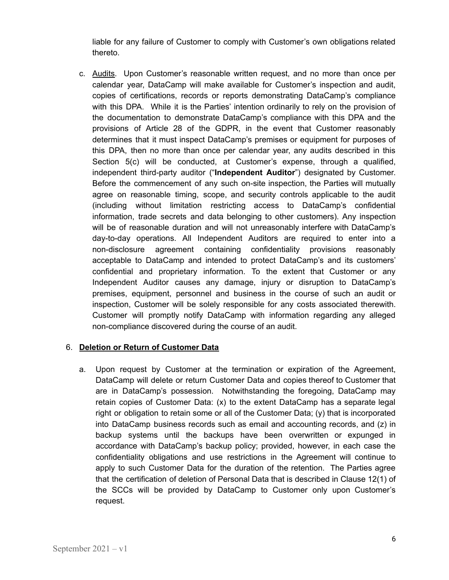liable for any failure of Customer to comply with Customer's own obligations related thereto.

c. Audits. Upon Customer's reasonable written request, and no more than once per calendar year, DataCamp will make available for Customer's inspection and audit, copies of certifications, records or reports demonstrating DataCamp's compliance with this DPA. While it is the Parties' intention ordinarily to rely on the provision of the documentation to demonstrate DataCamp's compliance with this DPA and the provisions of Article 28 of the GDPR, in the event that Customer reasonably determines that it must inspect DataCamp's premises or equipment for purposes of this DPA, then no more than once per calendar year, any audits described in this Section 5(c) will be conducted, at Customer's expense, through a qualified, independent third-party auditor ("**Independent Auditor**") designated by Customer. Before the commencement of any such on-site inspection, the Parties will mutually agree on reasonable timing, scope, and security controls applicable to the audit (including without limitation restricting access to DataCamp's confidential information, trade secrets and data belonging to other customers). Any inspection will be of reasonable duration and will not unreasonably interfere with DataCamp's day-to-day operations. All Independent Auditors are required to enter into a non-disclosure agreement containing confidentiality provisions reasonably acceptable to DataCamp and intended to protect DataCamp's and its customers' confidential and proprietary information. To the extent that Customer or any Independent Auditor causes any damage, injury or disruption to DataCamp's premises, equipment, personnel and business in the course of such an audit or inspection, Customer will be solely responsible for any costs associated therewith. Customer will promptly notify DataCamp with information regarding any alleged non-compliance discovered during the course of an audit.

# 6. **Deletion or Return of Customer Data**

a. Upon request by Customer at the termination or expiration of the Agreement, DataCamp will delete or return Customer Data and copies thereof to Customer that are in DataCamp's possession. Notwithstanding the foregoing, DataCamp may retain copies of Customer Data: (x) to the extent DataCamp has a separate legal right or obligation to retain some or all of the Customer Data; (y) that is incorporated into DataCamp business records such as email and accounting records, and (z) in backup systems until the backups have been overwritten or expunged in accordance with DataCamp's backup policy; provided, however, in each case the confidentiality obligations and use restrictions in the Agreement will continue to apply to such Customer Data for the duration of the retention. The Parties agree that the certification of deletion of Personal Data that is described in Clause 12(1) of the SCCs will be provided by DataCamp to Customer only upon Customer's request.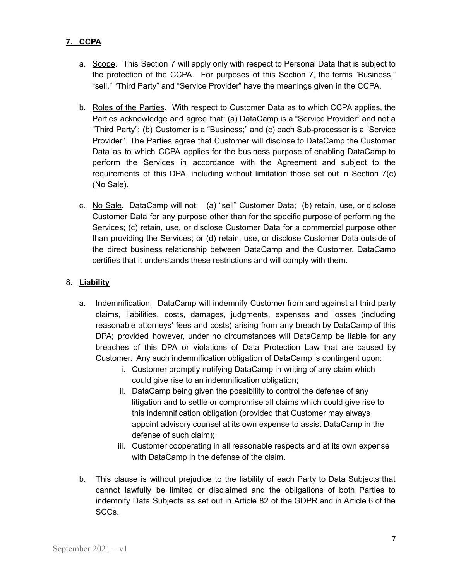# **7. CCPA**

- a. Scope. This Section 7 will apply only with respect to Personal Data that is subject to the protection of the CCPA. For purposes of this Section 7, the terms "Business," "sell," "Third Party" and "Service Provider" have the meanings given in the CCPA.
- b. Roles of the Parties. With respect to Customer Data as to which CCPA applies, the Parties acknowledge and agree that: (a) DataCamp is a "Service Provider" and not a "Third Party"; (b) Customer is a "Business;" and (c) each Sub-processor is a "Service Provider". The Parties agree that Customer will disclose to DataCamp the Customer Data as to which CCPA applies for the business purpose of enabling DataCamp to perform the Services in accordance with the Agreement and subject to the requirements of this DPA, including without limitation those set out in Section 7(c) (No Sale).
- c. No Sale. DataCamp will not: (a) "sell" Customer Data; (b) retain, use, or disclose Customer Data for any purpose other than for the specific purpose of performing the Services; (c) retain, use, or disclose Customer Data for a commercial purpose other than providing the Services; or (d) retain, use, or disclose Customer Data outside of the direct business relationship between DataCamp and the Customer. DataCamp certifies that it understands these restrictions and will comply with them.

## 8. **Liability**

- a. Indemnification. DataCamp will indemnify Customer from and against all third party claims, liabilities, costs, damages, judgments, expenses and losses (including reasonable attorneys' fees and costs) arising from any breach by DataCamp of this DPA; provided however, under no circumstances will DataCamp be liable for any breaches of this DPA or violations of Data Protection Law that are caused by Customer. Any such indemnification obligation of DataCamp is contingent upon:
	- i. Customer promptly notifying DataCamp in writing of any claim which could give rise to an indemnification obligation;
	- ii. DataCamp being given the possibility to control the defense of any litigation and to settle or compromise all claims which could give rise to this indemnification obligation (provided that Customer may always appoint advisory counsel at its own expense to assist DataCamp in the defense of such claim);
	- iii. Customer cooperating in all reasonable respects and at its own expense with DataCamp in the defense of the claim.
- b. This clause is without prejudice to the liability of each Party to Data Subjects that cannot lawfully be limited or disclaimed and the obligations of both Parties to indemnify Data Subjects as set out in Article 82 of the GDPR and in Article 6 of the SCCs.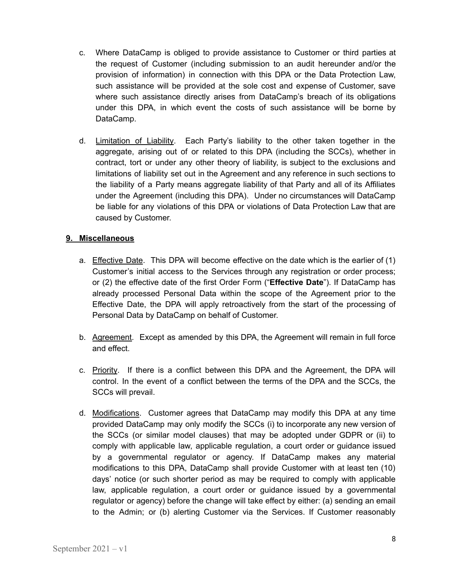- c. Where DataCamp is obliged to provide assistance to Customer or third parties at the request of Customer (including submission to an audit hereunder and/or the provision of information) in connection with this DPA or the Data Protection Law, such assistance will be provided at the sole cost and expense of Customer, save where such assistance directly arises from DataCamp's breach of its obligations under this DPA, in which event the costs of such assistance will be borne by DataCamp.
- d. Limitation of Liability. Each Party's liability to the other taken together in the aggregate, arising out of or related to this DPA (including the SCCs), whether in contract, tort or under any other theory of liability, is subject to the exclusions and limitations of liability set out in the Agreement and any reference in such sections to the liability of a Party means aggregate liability of that Party and all of its Affiliates under the Agreement (including this DPA). Under no circumstances will DataCamp be liable for any violations of this DPA or violations of Data Protection Law that are caused by Customer.

## **9. Miscellaneous**

- a. Effective Date. This DPA will become effective on the date which is the earlier of (1) Customer's initial access to the Services through any registration or order process; or (2) the effective date of the first Order Form ("**Effective Date**"). If DataCamp has already processed Personal Data within the scope of the Agreement prior to the Effective Date, the DPA will apply retroactively from the start of the processing of Personal Data by DataCamp on behalf of Customer.
- b. Agreement. Except as amended by this DPA, the Agreement will remain in full force and effect.
- c. Priority. If there is a conflict between this DPA and the Agreement, the DPA will control. In the event of a conflict between the terms of the DPA and the SCCs, the SCCs will prevail.
- d. Modifications. Customer agrees that DataCamp may modify this DPA at any time provided DataCamp may only modify the SCCs (i) to incorporate any new version of the SCCs (or similar model clauses) that may be adopted under GDPR or (ii) to comply with applicable law, applicable regulation, a court order or guidance issued by a governmental regulator or agency. If DataCamp makes any material modifications to this DPA, DataCamp shall provide Customer with at least ten (10) days' notice (or such shorter period as may be required to comply with applicable law, applicable regulation, a court order or guidance issued by a governmental regulator or agency) before the change will take effect by either: (a) sending an email to the Admin; or (b) alerting Customer via the Services. If Customer reasonably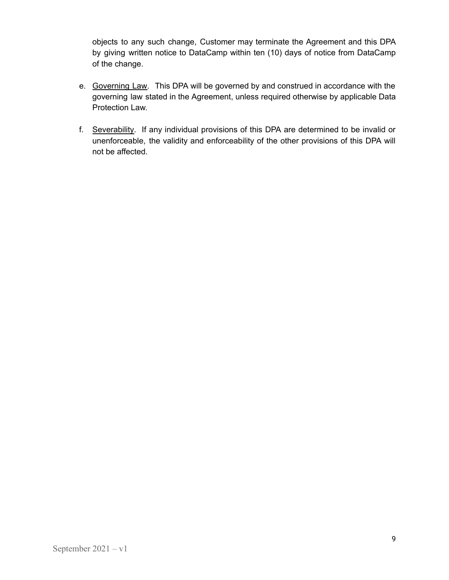objects to any such change, Customer may terminate the Agreement and this DPA by giving written notice to DataCamp within ten (10) days of notice from DataCamp of the change.

- e. Governing Law. This DPA will be governed by and construed in accordance with the governing law stated in the Agreement, unless required otherwise by applicable Data Protection Law.
- f. Severability. If any individual provisions of this DPA are determined to be invalid or unenforceable, the validity and enforceability of the other provisions of this DPA will not be affected.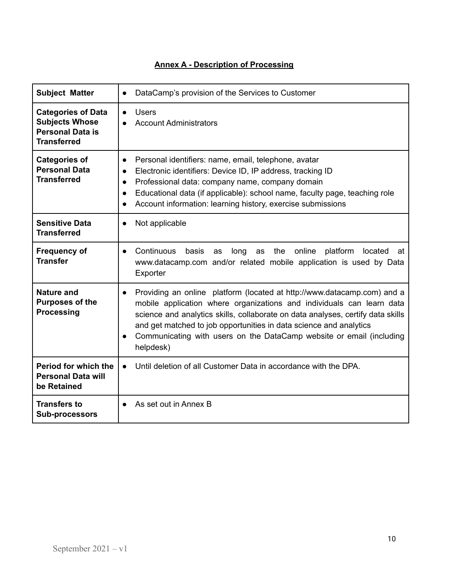| <b>Subject Matter</b>                                                                               | DataCamp's provision of the Services to Customer<br>$\bullet$                                                                                                                                                                                                                                                                                                                                                            |
|-----------------------------------------------------------------------------------------------------|--------------------------------------------------------------------------------------------------------------------------------------------------------------------------------------------------------------------------------------------------------------------------------------------------------------------------------------------------------------------------------------------------------------------------|
| <b>Categories of Data</b><br><b>Subjects Whose</b><br><b>Personal Data is</b><br><b>Transferred</b> | <b>Users</b><br>$\bullet$<br><b>Account Administrators</b>                                                                                                                                                                                                                                                                                                                                                               |
| <b>Categories of</b><br><b>Personal Data</b><br><b>Transferred</b>                                  | Personal identifiers: name, email, telephone, avatar<br>$\bullet$<br>Electronic identifiers: Device ID, IP address, tracking ID<br>$\bullet$<br>Professional data: company name, company domain<br>$\bullet$<br>Educational data (if applicable): school name, faculty page, teaching role<br>$\bullet$<br>Account information: learning history, exercise submissions<br>$\bullet$                                      |
| <b>Sensitive Data</b><br><b>Transferred</b>                                                         | Not applicable<br>$\bullet$                                                                                                                                                                                                                                                                                                                                                                                              |
| <b>Frequency of</b><br><b>Transfer</b>                                                              | Continuous<br>online<br>platform<br>basis<br>long<br>the<br>located<br>as<br>as<br>at<br>$\bullet$<br>www.datacamp.com and/or related mobile application is used by Data<br>Exporter                                                                                                                                                                                                                                     |
| <b>Nature and</b><br><b>Purposes of the</b><br><b>Processing</b>                                    | Providing an online platform (located at http://www.datacamp.com) and a<br>$\bullet$<br>mobile application where organizations and individuals can learn data<br>science and analytics skills, collaborate on data analyses, certify data skills<br>and get matched to job opportunities in data science and analytics<br>Communicating with users on the DataCamp website or email (including<br>$\bullet$<br>helpdesk) |
| Period for which the<br><b>Personal Data will</b><br>be Retained                                    | Until deletion of all Customer Data in accordance with the DPA.<br>$\bullet$                                                                                                                                                                                                                                                                                                                                             |
| <b>Transfers to</b><br><b>Sub-processors</b>                                                        | As set out in Annex B                                                                                                                                                                                                                                                                                                                                                                                                    |

# **Annex A - Description of Processing**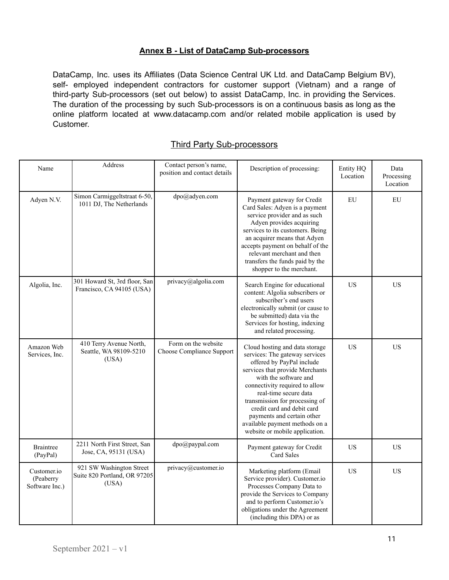# **Annex B - List of DataCamp Sub-processors**

DataCamp, Inc. uses its Affiliates (Data Science Central UK Ltd. and DataCamp Belgium BV), self- employed independent contractors for customer support (Vietnam) and a range of third-party Sub-processors (set out below) to assist DataCamp, Inc. in providing the Services. The duration of the processing by such Sub-processors is on a continuous basis as long as the online platform located at www.datacamp.com and/or related mobile application is used by Customer.

| Name                                       | Address                                                           | Contact person's name,<br>position and contact details | Description of processing:                                                                                                                                                                                                                                                                                                                                                             | Entity HQ<br>Location | Data<br>Processing<br>Location |
|--------------------------------------------|-------------------------------------------------------------------|--------------------------------------------------------|----------------------------------------------------------------------------------------------------------------------------------------------------------------------------------------------------------------------------------------------------------------------------------------------------------------------------------------------------------------------------------------|-----------------------|--------------------------------|
| Adyen N.V.                                 | Simon Carmiggeltstraat 6-50,<br>1011 DJ, The Netherlands          | dpo@adyen.com                                          | Payment gateway for Credit<br>Card Sales: Adyen is a payment<br>service provider and as such<br>Adyen provides acquiring<br>services to its customers. Being<br>an acquirer means that Adyen<br>accepts payment on behalf of the<br>relevant merchant and then<br>transfers the funds paid by the<br>shopper to the merchant.                                                          | EU                    | EU                             |
| Algolia, Inc.                              | 301 Howard St, 3rd floor, San<br>Francisco, CA 94105 (USA)        | privacy@algolia.com                                    | Search Engine for educational<br>content: Algolia subscribers or<br>subscriber's end users<br>electronically submit (or cause to<br>be submitted) data via the<br>Services for hosting, indexing<br>and related processing.                                                                                                                                                            | <b>US</b>             | <b>US</b>                      |
| Amazon Web<br>Services, Inc.               | 410 Terry Avenue North,<br>Seattle, WA 98109-5210<br>(USA)        | Form on the website<br>Choose Compliance Support       | Cloud hosting and data storage<br>services: The gateway services<br>offered by PayPal include<br>services that provide Merchants<br>with the software and<br>connectivity required to allow<br>real-time secure data<br>transmission for processing of<br>credit card and debit card<br>payments and certain other<br>available payment methods on a<br>website or mobile application. | US                    | <b>US</b>                      |
| <b>Braintree</b><br>(PayPal)               | 2211 North First Street, San<br>Jose, CA, 95131 (USA)             | dpo@paypal.com                                         | Payment gateway for Credit<br>Card Sales                                                                                                                                                                                                                                                                                                                                               | US                    | <b>US</b>                      |
| Customer.io<br>(Peaberry<br>Software Inc.) | 921 SW Washington Street<br>Suite 820 Portland, OR 97205<br>(USA) | privacy@customer.io                                    | Marketing platform (Email<br>Service provider). Customer.io<br>Processes Company Data to<br>provide the Services to Company<br>and to perform Customer.io's<br>obligations under the Agreement<br>(including this DPA) or as                                                                                                                                                           | US                    | <b>US</b>                      |

## Third Party Sub-processors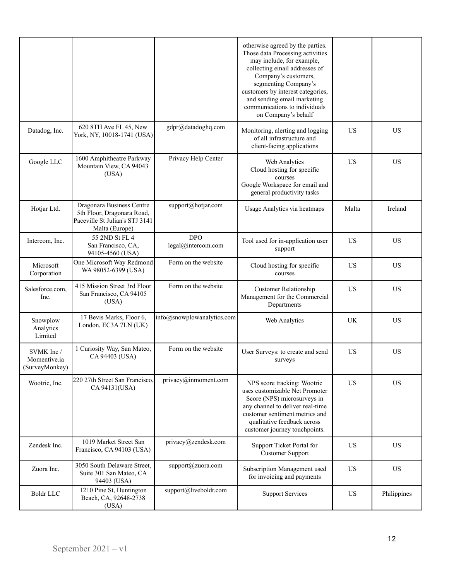|                                             |                                                                                                             |                                  | otherwise agreed by the parties.<br>Those data Processing activities<br>may include, for example,<br>collecting email addresses of<br>Company's customers,<br>segmenting Company's<br>customers by interest categories,<br>and sending email marketing<br>communications to individuals<br>on Company's behalf |           |             |
|---------------------------------------------|-------------------------------------------------------------------------------------------------------------|----------------------------------|----------------------------------------------------------------------------------------------------------------------------------------------------------------------------------------------------------------------------------------------------------------------------------------------------------------|-----------|-------------|
| Datadog, Inc.                               | 620 8TH Ave FL 45, New<br>York, NY, 10018-1741 (USA)                                                        | gdpr@datadoghq.com               | Monitoring, alerting and logging<br>of all infrastructure and<br>client-facing applications                                                                                                                                                                                                                    | <b>US</b> | <b>US</b>   |
| Google LLC                                  | 1600 Amphitheatre Parkway<br>Mountain View, CA 94043<br>(USA)                                               | Privacy Help Center              | Web Analytics<br>Cloud hosting for specific<br>courses<br>Google Workspace for email and<br>general productivity tasks                                                                                                                                                                                         | <b>US</b> | <b>US</b>   |
| Hotjar Ltd.                                 | Dragonara Business Centre<br>5th Floor, Dragonara Road,<br>Paceville St Julian's STJ 3141<br>Malta (Europe) | support@hotjar.com               | Usage Analytics via heatmaps                                                                                                                                                                                                                                                                                   | Malta     | Ireland     |
| Intercom, Inc.                              | 55 2ND St FL 4<br>San Francisco, CA,<br>94105-4560 (USA)                                                    | <b>DPO</b><br>legal@intercom.com | Tool used for in-application user<br>support                                                                                                                                                                                                                                                                   | <b>US</b> | <b>US</b>   |
| Microsoft<br>Corporation                    | One Microsoft Way Redmond<br>WA 98052-6399 (USA)                                                            | Form on the website              | Cloud hosting for specific<br>courses                                                                                                                                                                                                                                                                          | US        | <b>US</b>   |
| Salesforce.com,<br>Inc.                     | 415 Mission Street 3rd Floor<br>San Francisco, CA 94105<br>(USA)                                            | Form on the website              | <b>Customer Relationship</b><br>Management for the Commercial<br>Departments                                                                                                                                                                                                                                   | <b>US</b> | <b>US</b>   |
| Snowplow<br>Analytics<br>Limited            | 17 Bevis Marks, Floor 6,<br>London, EC3A 7LN (UK)                                                           | info@snowplowanalytics.com       | Web Analytics                                                                                                                                                                                                                                                                                                  | UK        | <b>US</b>   |
| SVMK Inc/<br>Momentive.ia<br>(SurveyMonkey) | 1 Curiosity Way, San Mateo,<br>CA 94403 (USA)                                                               | Form on the website              | User Surveys: to create and send<br>surveys                                                                                                                                                                                                                                                                    | <b>US</b> | <b>US</b>   |
| Wootric, Inc.                               | 220 27th Street San Francisco,<br>CA 94131(USA)                                                             | privacy@inmoment.com             | NPS score tracking: Wootric<br>uses customizable Net Promoter<br>Score (NPS) microsurveys in<br>any channel to deliver real-time<br>customer sentiment metrics and<br>qualitative feedback across<br>customer journey touchpoints.                                                                             | <b>US</b> | <b>US</b>   |
| Zendesk Inc.                                | 1019 Market Street San<br>Francisco, CA 94103 (USA)                                                         | privacy@zendesk.com              | Support Ticket Portal for<br><b>Customer Support</b>                                                                                                                                                                                                                                                           | <b>US</b> | <b>US</b>   |
| Zuora Inc.                                  | 3050 South Delaware Street,<br>Suite 301 San Mateo, CA<br>94403 (USA)                                       | support@zuora.com                | Subscription Management used<br>for invoicing and payments                                                                                                                                                                                                                                                     | <b>US</b> | US          |
| <b>Boldr LLC</b>                            | 1210 Pine St, Huntington<br>Beach, CA, 92648-2738<br>(USA)                                                  | support@liveboldr.com            | <b>Support Services</b>                                                                                                                                                                                                                                                                                        | US        | Philippines |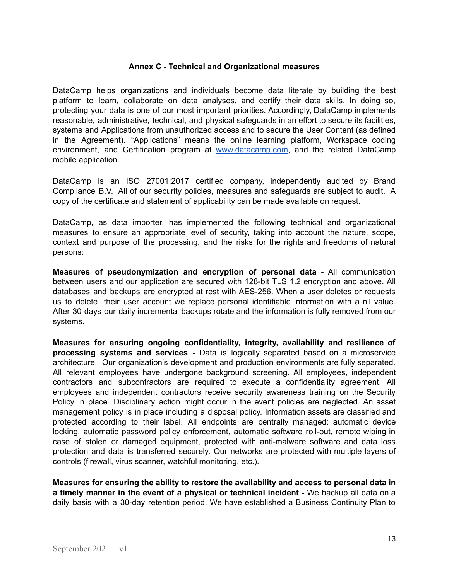#### **Annex C - Technical and Organizational measures**

DataCamp helps organizations and individuals become data literate by building the best platform to learn, collaborate on data analyses, and certify their data skills. In doing so, protecting your data is one of our most important priorities. Accordingly, DataCamp implements reasonable, administrative, technical, and physical safeguards in an effort to secure its facilities, systems and Applications from unauthorized access and to secure the User Content (as defined in the Agreement). "Applications" means the online learning platform, Workspace coding environment, and Certification program at [www.datacamp.com,](http://www.datacamp.com) and the related DataCamp mobile application.

DataCamp is an ISO 27001:2017 certified company, independently audited by Brand Compliance B.V. All of our security policies, measures and safeguards are subject to audit. A copy of the certificate and statement of applicability can be made available on request.

DataCamp, as data importer, has implemented the following technical and organizational measures to ensure an appropriate level of security, taking into account the nature, scope, context and purpose of the processing, and the risks for the rights and freedoms of natural persons:

**Measures of pseudonymization and encryption of personal data -** All communication between users and our application are secured with 128-bit TLS 1.2 encryption and above. All databases and backups are encrypted at rest with AES-256. When a user deletes or requests us to delete their user account we replace personal identifiable information with a nil value. After 30 days our daily incremental backups rotate and the information is fully removed from our systems.

**Measures for ensuring ongoing confidentiality, integrity, availability and resilience of processing systems and services -** Data is logically separated based on a microservice architecture. Our organization's development and production environments are fully separated. All relevant employees have undergone background screening**.** All employees, independent contractors and subcontractors are required to execute a confidentiality agreement. All employees and independent contractors receive security awareness training on the Security Policy in place. Disciplinary action might occur in the event policies are neglected. An asset management policy is in place including a disposal policy. Information assets are classified and protected according to their label. All endpoints are centrally managed: automatic device locking, automatic password policy enforcement, automatic software roll-out, remote wiping in case of stolen or damaged equipment, protected with anti-malware software and data loss protection and data is transferred securely. Our networks are protected with multiple layers of controls (firewall, virus scanner, watchful monitoring, etc.).

**Measures for ensuring the ability to restore the availability and access to personal data in a timely manner in the event of a physical or technical incident -** We backup all data on a daily basis with a 30-day retention period. We have established a Business Continuity Plan to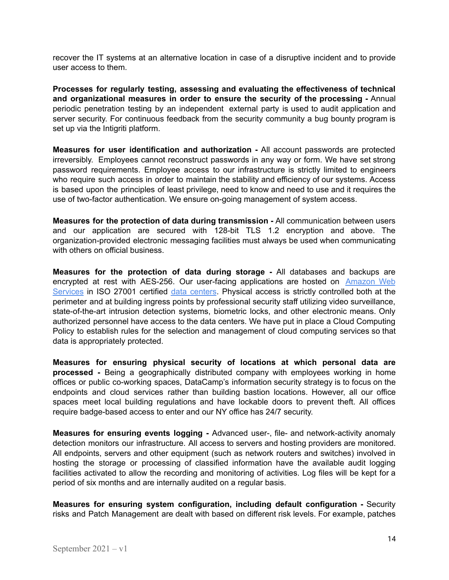recover the IT systems at an alternative location in case of a disruptive incident and to provide user access to them.

**Processes for regularly testing, assessing and evaluating the effectiveness of technical and organizational measures in order to ensure the security of the processing -** Annual periodic penetration testing by an independent external party is used to audit application and server security. For continuous feedback from the security community a bug bounty program is set up via the Intigriti platform.

**Measures for user identification and authorization -** All account passwords are protected irreversibly. Employees cannot reconstruct passwords in any way or form. We have set strong password requirements. Employee access to our infrastructure is strictly limited to engineers who require such access in order to maintain the stability and efficiency of our systems. Access is based upon the principles of least privilege, need to know and need to use and it requires the use of two-factor authentication. We ensure on-going management of system access.

**Measures for the protection of data during transmission -** All communication between users and our application are secured with 128-bit TLS 1.2 encryption and above. The organization-provided electronic messaging facilities must always be used when communicating with others on official business.

**Measures for the protection of data during storage -** All databases and backups are encrypted at rest with AES-256. Our user-facing applications are hosted on [Amazon](https://aws.amazon.com/security/) Web [Services](https://aws.amazon.com/security/) in ISO 27001 certified data [centers](https://aws.amazon.com/compliance/data-center/controls/). Physical access is strictly controlled both at the perimeter and at building ingress points by professional security staff utilizing video surveillance, state-of-the-art intrusion detection systems, biometric locks, and other electronic means. Only authorized personnel have access to the data centers. We have put in place a Cloud Computing Policy to establish rules for the selection and management of cloud computing services so that data is appropriately protected.

**Measures for ensuring physical security of locations at which personal data are processed -** Being a geographically distributed company with employees working in home offices or public co-working spaces, DataCamp's information security strategy is to focus on the endpoints and cloud services rather than building bastion locations. However, all our office spaces meet local building regulations and have lockable doors to prevent theft. All offices require badge-based access to enter and our NY office has 24/7 security.

**Measures for ensuring events logging -** Advanced user-, file- and network-activity anomaly detection monitors our infrastructure. All access to servers and hosting providers are monitored. All endpoints, servers and other equipment (such as network routers and switches) involved in hosting the storage or processing of classified information have the available audit logging facilities activated to allow the recording and monitoring of activities. Log files will be kept for a period of six months and are internally audited on a regular basis.

**Measures for ensuring system configuration, including default configuration -** Security risks and Patch Management are dealt with based on different risk levels. For example, patches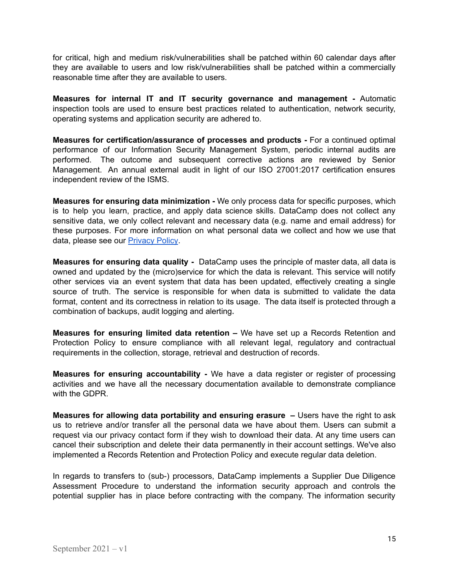for critical, high and medium risk/vulnerabilities shall be patched within 60 calendar days after they are available to users and low risk/vulnerabilities shall be patched within a commercially reasonable time after they are available to users.

**Measures for internal IT and IT security governance and management -** Automatic inspection tools are used to ensure best practices related to authentication, network security, operating systems and application security are adhered to.

**Measures for certification/assurance of processes and products -** For a continued optimal performance of our Information Security Management System, periodic internal audits are performed. The outcome and subsequent corrective actions are reviewed by Senior Management. An annual external audit in light of our ISO 27001:2017 certification ensures independent review of the ISMS.

**Measures for ensuring data minimization -** We only process data for specific purposes, which is to help you learn, practice, and apply data science skills. DataCamp does not collect any sensitive data, we only collect relevant and necessary data (e.g. name and email address) for these purposes. For more information on what personal data we collect and how we use that data, please see our [Privacy](https://www.datacamp.com/privacy-policy#information-we-collect) Policy.

**Measures for ensuring data quality -** DataCamp uses the principle of master data, all data is owned and updated by the (micro)service for which the data is relevant. This service will notify other services via an event system that data has been updated, effectively creating a single source of truth. The service is responsible for when data is submitted to validate the data format, content and its correctness in relation to its usage. The data itself is protected through a combination of backups, audit logging and alerting**.**

**Measures for ensuring limited data retention –** We have set up a Records Retention and Protection Policy to ensure compliance with all relevant legal, regulatory and contractual requirements in the collection, storage, retrieval and destruction of records.

**Measures for ensuring accountability -** We have a data register or register of processing activities and we have all the necessary documentation available to demonstrate compliance with the GDPR.

**Measures for allowing data portability and ensuring erasure –** Users have the right to ask us to retrieve and/or transfer all the personal data we have about them. Users can submit a request via our privacy contact form if they wish to download their data. At any time users can cancel their subscription and delete their data permanently in their account settings. We've also implemented a Records Retention and Protection Policy and execute regular data deletion.

In regards to transfers to (sub-) processors, DataCamp implements a Supplier Due Diligence Assessment Procedure to understand the information security approach and controls the potential supplier has in place before contracting with the company. The information security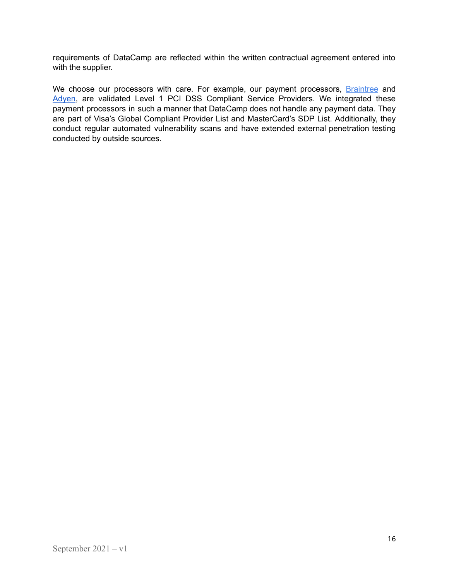requirements of DataCamp are reflected within the written contractual agreement entered into with the supplier.

We choose our processors with care. For example, our payment processors, **[Braintree](https://www.braintreepayments.com/features/data-security)** and [Adyen](https://www.adyen.com/platform/certifications), are validated Level 1 PCI DSS Compliant Service Providers. We integrated these payment processors in such a manner that DataCamp does not handle any payment data. They are part of Visa's Global Compliant Provider List and MasterCard's SDP List. Additionally, they conduct regular automated vulnerability scans and have extended external penetration testing conducted by outside sources.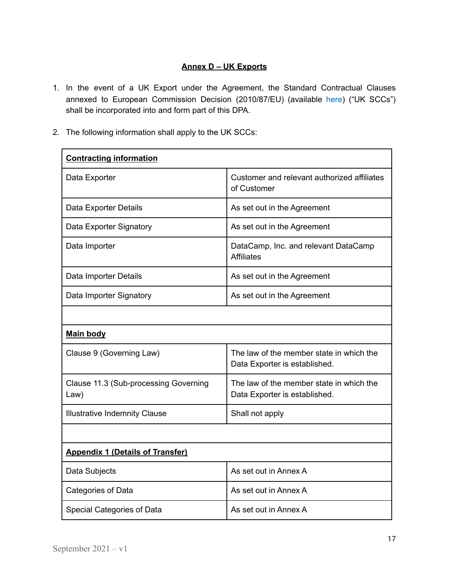# **Annex D – UK Exports**

- 1. In the event of a UK Export under the Agreement, the Standard Contractual Clauses annexed to European Commission Decision (2010/87/EU) (available [here\)](https://eur-lex.europa.eu/legal-content/en/TXT/?uri=CELEX%3A32010D0087) ("UK SCCs") shall be incorporated into and form part of this DPA.
- 2. The following information shall apply to the UK SCCs:

| <b>Contracting information</b>                |                                                                           |  |  |
|-----------------------------------------------|---------------------------------------------------------------------------|--|--|
| Data Exporter                                 | Customer and relevant authorized affiliates<br>of Customer                |  |  |
| Data Exporter Details                         | As set out in the Agreement                                               |  |  |
| Data Exporter Signatory                       | As set out in the Agreement                                               |  |  |
| Data Importer                                 | DataCamp, Inc. and relevant DataCamp<br><b>Affiliates</b>                 |  |  |
| Data Importer Details                         | As set out in the Agreement                                               |  |  |
| Data Importer Signatory                       | As set out in the Agreement                                               |  |  |
|                                               |                                                                           |  |  |
| <b>Main body</b>                              |                                                                           |  |  |
| Clause 9 (Governing Law)                      | The law of the member state in which the<br>Data Exporter is established. |  |  |
| Clause 11.3 (Sub-processing Governing<br>Law) | The law of the member state in which the<br>Data Exporter is established. |  |  |
| <b>Illustrative Indemnity Clause</b>          | Shall not apply                                                           |  |  |
|                                               |                                                                           |  |  |
| <b>Appendix 1 (Details of Transfer)</b>       |                                                                           |  |  |
| Data Subjects                                 | As set out in Annex A                                                     |  |  |
| Categories of Data                            | As set out in Annex A                                                     |  |  |
| Special Categories of Data                    | As set out in Annex A                                                     |  |  |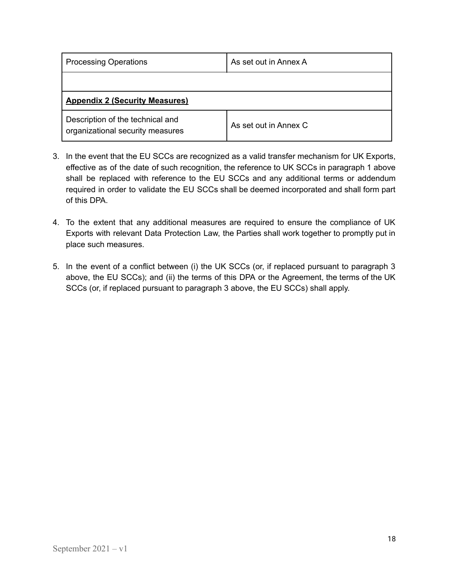| <b>Processing Operations</b>                                         | As set out in Annex A |
|----------------------------------------------------------------------|-----------------------|
|                                                                      |                       |
| <b>Appendix 2 (Security Measures)</b>                                |                       |
| Description of the technical and<br>organizational security measures | As set out in Annex C |

- 3. In the event that the EU SCCs are recognized as a valid transfer mechanism for UK Exports, effective as of the date of such recognition, the reference to UK SCCs in paragraph 1 above shall be replaced with reference to the EU SCCs and any additional terms or addendum required in order to validate the EU SCCs shall be deemed incorporated and shall form part of this DPA.
- 4. To the extent that any additional measures are required to ensure the compliance of UK Exports with relevant Data Protection Law, the Parties shall work together to promptly put in place such measures.
- 5. In the event of a conflict between (i) the UK SCCs (or, if replaced pursuant to paragraph 3 above, the EU SCCs); and (ii) the terms of this DPA or the Agreement, the terms of the UK SCCs (or, if replaced pursuant to paragraph 3 above, the EU SCCs) shall apply.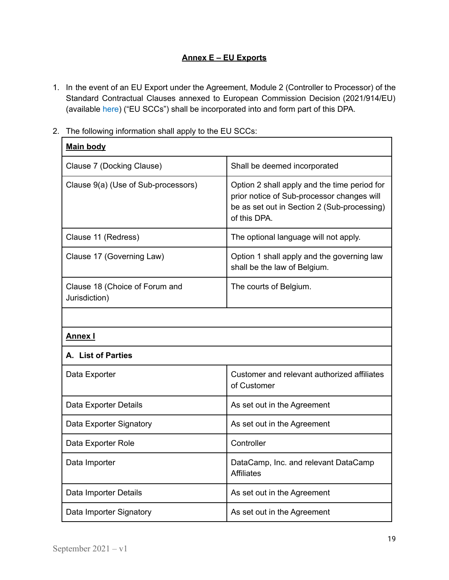# **Annex E – EU Exports**

- 1. In the event of an EU Export under the Agreement, Module 2 (Controller to Processor) of the Standard Contractual Clauses annexed to European Commission Decision (2021/914/EU) (available [here](https://eur-lex.europa.eu/eli/dec_impl/2021/914/oj?uri=CELEX%3A32021D0914&locale=en)) ("EU SCCs") shall be incorporated into and form part of this DPA.
- 2. The following information shall apply to the EU SCCs:

| <b>Main body</b>                                |                                                                                                                                                           |
|-------------------------------------------------|-----------------------------------------------------------------------------------------------------------------------------------------------------------|
| Clause 7 (Docking Clause)                       | Shall be deemed incorporated                                                                                                                              |
| Clause 9(a) (Use of Sub-processors)             | Option 2 shall apply and the time period for<br>prior notice of Sub-processor changes will<br>be as set out in Section 2 (Sub-processing)<br>of this DPA. |
| Clause 11 (Redress)                             | The optional language will not apply.                                                                                                                     |
| Clause 17 (Governing Law)                       | Option 1 shall apply and the governing law<br>shall be the law of Belgium.                                                                                |
| Clause 18 (Choice of Forum and<br>Jurisdiction) | The courts of Belgium.                                                                                                                                    |
|                                                 |                                                                                                                                                           |
| <b>Annex I</b>                                  |                                                                                                                                                           |
| A. List of Parties                              |                                                                                                                                                           |
| Data Exporter                                   | Customer and relevant authorized affiliates<br>of Customer                                                                                                |
| Data Exporter Details                           | As set out in the Agreement                                                                                                                               |
| Data Exporter Signatory                         | As set out in the Agreement                                                                                                                               |
| Data Exporter Role                              | Controller                                                                                                                                                |
| Data Importer                                   | DataCamp, Inc. and relevant DataCamp<br><b>Affiliates</b>                                                                                                 |
| Data Importer Details                           | As set out in the Agreement                                                                                                                               |
| Data Importer Signatory                         | As set out in the Agreement                                                                                                                               |